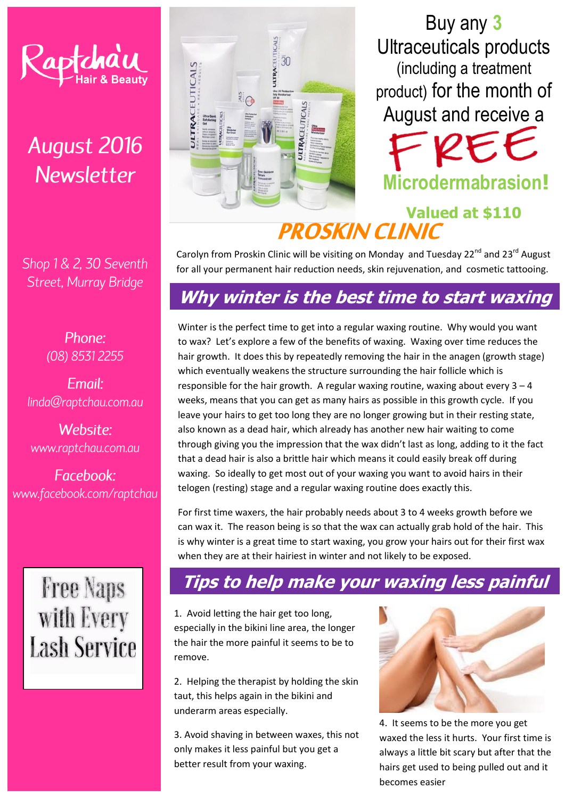# **August 2016 Newsletter**

Shop 1 & 2, 30 Seventh Street, Murray Bridge

> Phone: (08) 8531 2255

Fmail: linda@raptchau.com.au

Website: www.raptchau.com.au

Facebook: www.facebook.com/raptchau

# **Free Naps** with Every **Lash Service**



Buy any **3** Ultraceuticals products (including a treatment product) for the month of August and receive a  $\boldsymbol{\mathcal{Q}}$ 

**Microdermabrasion!**

# Valued at \$110<br>**PROSKIN CLINIC**

Carolyn from Proskin Clinic will be visiting on Monday and Tuesday  $22^{nd}$  and  $23^{rd}$  August for all your permanent hair reduction needs, skin rejuvenation, and cosmetic tattooing.

## **Why winter is the best time to start waxing**

Winter is the perfect time to get into a regular waxing routine. Why would you want to wax? Let's explore a few of the benefits of waxing. Waxing over time reduces the hair growth. It does this by repeatedly removing the hair in the anagen (growth stage) which eventually weakens the structure surrounding the hair follicle which is responsible for the hair growth. A regular waxing routine, waxing about every  $3 - 4$ weeks, means that you can get as many hairs as possible in this growth cycle. If you leave your hairs to get too long they are no longer growing but in their resting state, also known as a dead hair, which already has another new hair waiting to come through giving you the impression that the wax didn't last as long, adding to it the fact that a dead hair is also a brittle hair which means it could easily break off during waxing. So ideally to get most out of your waxing you want to avoid hairs in their telogen (resting) stage and a regular waxing routine does exactly this.

For first time waxers, the hair probably needs about 3 to 4 weeks growth before we can wax it. The reason being is so that the wax can actually grab hold of the hair. This is why winter is a great time to start waxing, you grow your hairs out for their first wax when they are at their hairiest in winter and not likely to be exposed.

# **Tips to help make your waxing less painful**

1. Avoid letting the hair get too long, especially in the bikini line area, the longer the hair the more painful it seems to be to remove.

2. Helping the therapist by holding the skin taut, this helps again in the bikini and underarm areas especially.

3. Avoid shaving in between waxes, this not only makes it less painful but you get a better result from your waxing.



4. It seems to be the more you get waxed the less it hurts. Your first time is always a little bit scary but after that the hairs get used to being pulled out and it becomes easier